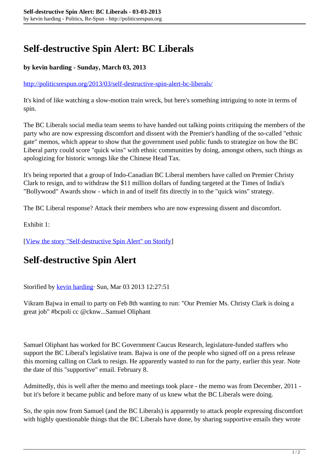## **Self-destructive Spin Alert: BC Liberals**

## **by kevin harding - Sunday, March 03, 2013**

<http://politicsrespun.org/2013/03/self-destructive-spin-alert-bc-liberals/>

It's kind of like watching a slow-motion train wreck, but here's something intriguing to note in terms of spin.

The BC Liberals social media team seems to have handed out talking points critiquing the members of the party who are now expressing discomfort and dissent with the Premier's handling of the so-called "ethnic gate" memos, which appear to show that the government used public funds to strategize on how the BC Liberal party could score "quick wins" with ethnic communities by doing, amongst others, such things as apologizing for historic wrongs like the Chinese Head Tax.

It's being reported that a group of Indo-Canadian BC Liberal members have called on Premier Christy Clark to resign, and to withdraw the \$11 million dollars of funding targeted at the Times of India's "Bollywood" Awards show - which in and of itself fits directly in to the "quick wins" strategy.

The BC Liberal response? Attack their members who are now expressing dissent and discomfort.

Exhibit 1:

[[View the story "Self-destructive Spin Alert" on Storify\]](//storify.com/kevinharding/self-destructive-spin-alert)

## **Self-destructive Spin Alert**

Storified by [kevin harding·](http://storify.com/kevinharding) Sun, Mar 03 2013 12:27:51

Vikram Bajwa in email to party on Feb 8th wanting to run: "Our Premier Ms. Christy Clark is doing a great job" #bcpoli cc @cknw...Samuel Oliphant

Samuel Oliphant has worked for BC Government Caucus Research, legislature-funded staffers who support the BC Liberal's legislative team. Bajwa is one of the people who signed off on a press release this morning calling on Clark to resign. He apparently wanted to run for the party, earlier this year. Note the date of this "supportive" email. February 8.

Admittedly, this is well after the memo and meetings took place - the memo was from December, 2011 but it's before it became public and before many of us knew what the BC Liberals were doing.

So, the spin now from Samuel (and the BC Liberals) is apparently to attack people expressing discomfort with highly questionable things that the BC Liberals have done, by sharing supportive emails they wrote